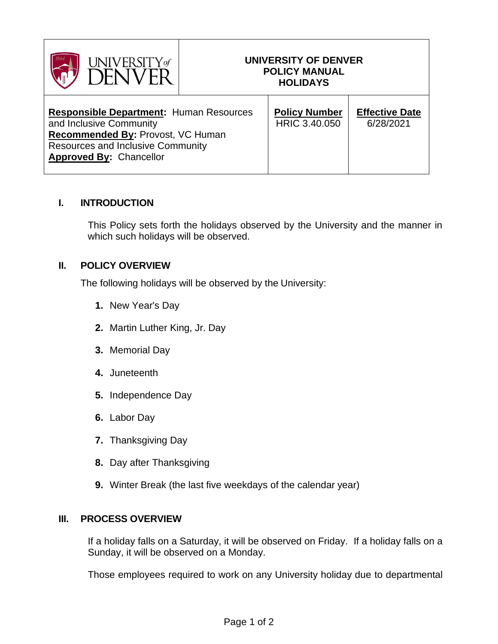| UNIVERSITY of                                                                                                                                                                                |  | UNIVERSITY OF DENVER<br><b>POLICY MANUAL</b><br><b>HOLIDAYS</b> |                                    |
|----------------------------------------------------------------------------------------------------------------------------------------------------------------------------------------------|--|-----------------------------------------------------------------|------------------------------------|
| <b>Responsible Department: Human Resources</b><br>and Inclusive Community<br>Recommended By: Provost, VC Human<br><b>Resources and Inclusive Community</b><br><b>Approved By: Chancellor</b> |  | <b>Policy Number</b><br>HRIC 3.40.050                           | <b>Effective Date</b><br>6/28/2021 |

## **I. INTRODUCTION**

This Policy sets forth the holidays observed by the University and the manner in which such holidays will be observed.

## **II. POLICY OVERVIEW**

The following holidays will be observed by the University:

- **1.** New Year's Day
- **2.** Martin Luther King, Jr. Day
- **3.** Memorial Day
- **4.** Juneteenth
- **5.** Independence Day
- **6.** Labor Day
- **7.** Thanksgiving Day
- **8.** Day after Thanksgiving
- **9.** Winter Break (the last five weekdays of the calendar year)

## **III. PROCESS OVERVIEW**

If a holiday falls on a Saturday, it will be observed on Friday. If a holiday falls on a Sunday, it will be observed on a Monday.

Those employees required to work on any University holiday due to departmental